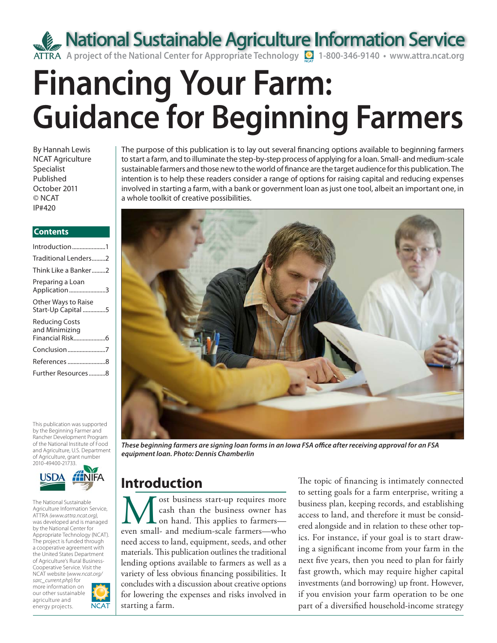**A project of the National Center for Appropriate Technology Q** 1-800-346-9140 • www.attra.ncat.org

# **Financing Your Farm: Guidance for Beginning Farmers**

By Hannah Lewis NCAT Agriculture Specialist Published October 2011 © NCAT IP#420

#### **Contents**

| Introduction1                             |
|-------------------------------------------|
| Traditional Lenders2                      |
| Think Like a Banker2                      |
| Preparing a Loan<br>Application3          |
| Other Ways to Raise<br>Start-Up Capital 5 |
| Reducing Costs<br>and Minimizing          |
| Conclusion7                               |
| References 8                              |
| Further Resources8                        |
|                                           |

This publication was supported by the Beginning Farmer and Rancher Development Program of the National Institute of Food and Agriculture, U.S. Department of Agriculture, grant number 2010-49400-21733.



The National Sustainable Agriculture Information Service, ATTRA *(www.attra.ncat.org)*, was developed and is managed by the National Center for Appropriate Technology (NCAT). The project is funded through a cooperative agreement with the United States Department of Agriculture's Rural Business-Cooperative Service. Visit the NCAT website (*www.ncat.org/ sarc\_current.php*) for more information on our other sustainable

agriculture and



The purpose of this publication is to lay out several financing options available to beginning farmers to start a farm, and to illuminate the step-by-step process of applying for a loan. Small- and medium-scale sustainable farmers and those new to the world of finance are the target audience for this publication. The intention is to help these readers consider a range of options for raising capital and reducing expenses involved in starting a farm, with a bank or government loan as just one tool, albeit an important one, in a whole toolkit of creative possibilities.



*These beginning farmers are signing loan forms in an Iowa FSA offi ce after receiving approval for an FSA equipment loan. Photo: Dennis Chamberlin*

### **Introduction**

Most business start-up requires more cash than the business owner has on hand. This applies to farmers—even small- and medium-scale farmers—who cash than the business owner has on hand. This applies to farmers need access to land, equipment, seeds, and other materials. This publication outlines the traditional lending options available to farmers as well as a variety of less obvious financing possibilities. It concludes with a discussion about creative options for lowering the expenses and risks involved in starting a farm.

The topic of financing is intimately connected to setting goals for a farm enterprise, writing a business plan, keeping records, and establishing access to land, and therefore it must be considered alongside and in relation to these other topics. For instance, if your goal is to start drawing a significant income from your farm in the next five years, then you need to plan for fairly fast growth, which may require higher capital investments (and borrowing) up front. However, if you envision your farm operation to be one part of a diversified household-income strategy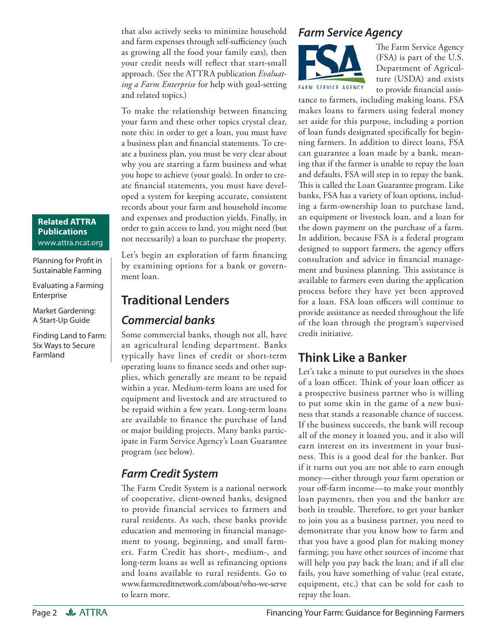that also actively seeks to minimize household and farm expenses through self-sufficiency (such as growing all the food your family eats), then your credit needs will reflect that start-small approach. (See the ATTRA publication *Evaluating a Farm Enterprise* for help with goal-setting and related topics.)

To make the relationship between financing your farm and these other topics crystal clear, note this: in order to get a loan, you must have a business plan and financial statements. To create a business plan, you must be very clear about why you are starting a farm business and what you hope to achieve (your goals). In order to create financial statements, you must have developed a system for keeping accurate, consistent records about your farm and household income and expenses and production yields. Finally, in order to gain access to land, you might need (but not necessarily) a loan to purchase the property.

Let's begin an exploration of farm financing by examining options for a bank or government loan.

### **Traditional Lenders** *Commercial banks*

Some commercial banks, though not all, have an agricultural lending department. Banks typically have lines of credit or short-term operating loans to finance seeds and other supplies, which generally are meant to be repaid within a year. Medium-term loans are used for equipment and livestock and are structured to be repaid within a few years. Long-term loans are available to finance the purchase of land or major building projects. Many banks participate in Farm Service Agency's Loan Guarantee program (see below).

### *Farm Credit System*

The Farm Credit System is a national network of cooperative, client-owned banks, designed to provide financial services to farmers and rural residents. As such, these banks provide education and mentoring in financial management to young, beginning, and small farmers. Farm Credit has short-, medium-, and long-term loans as well as refinancing options and loans available to rural residents. Go to www.farmcreditnetwork.com/about/who-we-serve to learn more.

### *Farm Service Agency*



The Farm Service Agency (FSA) is part of the U.S. Department of Agriculture (USDA) and exists to provide financial assis-

tance to farmers, including making loans. FSA makes loans to farmers using federal money set aside for this purpose, including a portion of loan funds designated specifically for beginning farmers. In addition to direct loans, FSA can guarantee a loan made by a bank, meaning that if the farmer is unable to repay the loan and defaults, FSA will step in to repay the bank. This is called the Loan Guarantee program. Like banks, FSA has a variety of loan options, including a farm-ownership loan to purchase land, an equipment or livestock loan, and a loan for the down payment on the purchase of a farm. In addition, because FSA is a federal program designed to support farmers, the agency offers consultation and advice in financial management and business planning. This assistance is available to farmers even during the application process before they have yet been approved for a loan. FSA loan officers will continue to provide assistance as needed throughout the life of the loan through the program's supervised credit initiative.

### **Think Like a Banker**

Let's take a minute to put ourselves in the shoes of a loan officer. Think of your loan officer as a prospective business partner who is willing to put some skin in the game of a new business that stands a reasonable chance of success. If the business succeeds, the bank will recoup all of the money it loaned you, and it also will earn interest on its investment in your business. This is a good deal for the banker. But if it turns out you are not able to earn enough money—either through your farm operation or your off-farm income—to make your monthly loan payments, then you and the banker are both in trouble. Therefore, to get your banker to join you as a business partner, you need to demonstrate that you know how to farm and that you have a good plan for making money farming; you have other sources of income that will help you pay back the loan; and if all else fails, you have something of value (real estate, equipment, etc.) that can be sold for cash to repay the loan.

### **Related ATTRA Publications** www.attra.ncat.org

Planning for Profit in Sustainable Farming

#### Evaluating a Farming Enterprise

Market Gardening: A Start-Up Guide

Finding Land to Farm: Six Ways to Secure Farmland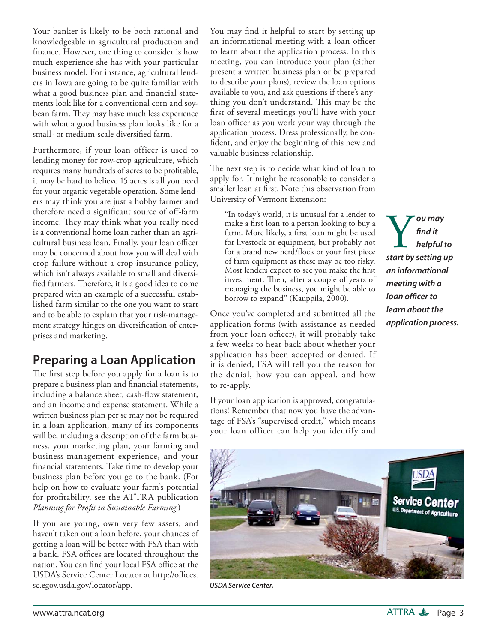Your banker is likely to be both rational and knowledgeable in agricultural production and finance. However, one thing to consider is how much experience she has with your particular business model. For instance, agricultural lenders in Iowa are going to be quite familiar with what a good business plan and financial statements look like for a conventional corn and soybean farm. They may have much less experience with what a good business plan looks like for a small- or medium-scale diversified farm.

Furthermore, if your loan officer is used to lending money for row-crop agriculture, which requires many hundreds of acres to be profitable, it may be hard to believe 15 acres is all you need for your organic vegetable operation. Some lenders may think you are just a hobby farmer and therefore need a significant source of off-farm income. They may think what you really need is a conventional home loan rather than an agricultural business loan. Finally, your loan officer may be concerned about how you will deal with crop failure without a crop-insurance policy, which isn't always available to small and diversified farmers. Therefore, it is a good idea to come prepared with an example of a successful established farm similar to the one you want to start and to be able to explain that your risk-management strategy hinges on diversification of enterprises and marketing.

### **Preparing a Loan Application**

The first step before you apply for a loan is to prepare a business plan and financial statements, including a balance sheet, cash-flow statement, and an income and expense statement. While a written business plan per se may not be required in a loan application, many of its components will be, including a description of the farm business, your marketing plan, your farming and business-management experience, and your financial statements. Take time to develop your business plan before you go to the bank. (For help on how to evaluate your farm's potential for profitability, see the ATTRA publication *Planning for Profi t in Sustainable Farming.*)

If you are young, own very few assets, and haven't taken out a loan before, your chances of getting a loan will be better with FSA than with a bank. FSA offices are located throughout the nation. You can find your local FSA office at the USDA's Service Center Locator at http://offices. sc.egov.usda.gov/locator/app.

You may find it helpful to start by setting up an informational meeting with a loan officer to learn about the application process. In this meeting, you can introduce your plan (either present a written business plan or be prepared to describe your plans), review the loan options available to you, and ask questions if there's anything you don't understand. This may be the first of several meetings you'll have with your loan officer as you work your way through the application process. Dress professionally, be confident, and enjoy the beginning of this new and valuable business relationship.

The next step is to decide what kind of loan to apply for. It might be reasonable to consider a smaller loan at first. Note this observation from University of Vermont Extension:

"In today's world, it is unusual for a lender to make a first loan to a person looking to buy a farm. More likely, a first loan might be used for livestock or equipment, but probably not for a brand new herd/flock or your first piece of farm equipment as these may be too risky. Most lenders expect to see you make the first investment. Then, after a couple of years of managing the business, you might be able to borrow to expand" (Kauppila, 2000).

Once you've completed and submitted all the application forms (with assistance as needed from your loan officer), it will probably take a few weeks to hear back about whether your application has been accepted or denied. If it is denied, FSA will tell you the reason for the denial, how you can appeal, and how to re-apply.

If your loan application is approved, congratulations! Remember that now you have the advantage of FSA's "supervised credit," which means your loan officer can help you identify and

Y*ou may start by setting up fi nd it helpful to an informational meeting with a*  loan officer to *learn about the application process.*



*USDA Service Center.*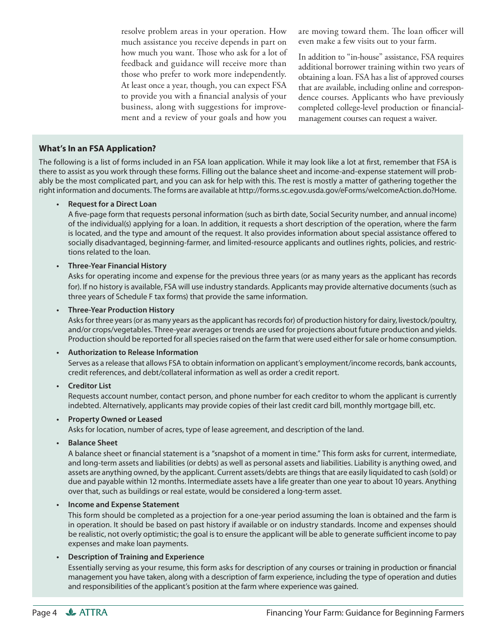resolve problem areas in your operation. How much assistance you receive depends in part on how much you want. Those who ask for a lot of feedback and guidance will receive more than those who prefer to work more independently. At least once a year, though, you can expect FSA to provide you with a financial analysis of your business, along with suggestions for improvement and a review of your goals and how you are moving toward them. The loan officer will even make a few visits out to your farm.

In addition to "in-house" assistance, FSA requires additional borrower training within two years of obtaining a loan. FSA has a list of approved courses that are available, including online and correspondence courses. Applicants who have previously completed college-level production or financialmanagement courses can request a waiver.

#### **What's In an FSA Application?**

The following is a list of forms included in an FSA loan application. While it may look like a lot at first, remember that FSA is there to assist as you work through these forms. Filling out the balance sheet and income-and-expense statement will probably be the most complicated part, and you can ask for help with this. The rest is mostly a matter of gathering together the right information and documents. The forms are available at http://forms.sc.egov.usda.gov/eForms/welcomeAction.do?Home.

#### **• Request for a Direct Loan**

A five-page form that requests personal information (such as birth date, Social Security number, and annual income) of the individual(s) applying for a loan. In addition, it requests a short description of the operation, where the farm is located, and the type and amount of the request. It also provides information about special assistance offered to socially disadvantaged, beginning-farmer, and limited-resource applicants and outlines rights, policies, and restrictions related to the loan.

#### **• Three-Year Financial History**

 Asks for operating income and expense for the previous three years (or as many years as the applicant has records for). If no history is available, FSA will use industry standards. Applicants may provide alternative documents (such as three years of Schedule F tax forms) that provide the same information.

**• Three-Year Production History**

 Asks for three years (or as many years as the applicant has records for) of production history for dairy, livestock/poultry, and/or crops/vegetables. Three-year averages or trends are used for projections about future production and yields. Production should be reported for all species raised on the farm that were used either for sale or home consumption.

#### **• Authorization to Release Information**

 Serves as a release that allows FSA to obtain information on applicant's employment/income records, bank accounts, credit references, and debt/collateral information as well as order a credit report.

#### **• Creditor List**

 Requests account number, contact person, and phone number for each creditor to whom the applicant is currently indebted. Alternatively, applicants may provide copies of their last credit card bill, monthly mortgage bill, etc.

#### **• Property Owned or Leased**

Asks for location, number of acres, type of lease agreement, and description of the land.

#### **• Balance Sheet**

A balance sheet or financial statement is a "snapshot of a moment in time." This form asks for current, intermediate, and long-term assets and liabilities (or debts) as well as personal assets and liabilities. Liability is anything owed, and assets are anything owned, by the applicant. Current assets/debts are things that are easily liquidated to cash (sold) or due and payable within 12 months. Intermediate assets have a life greater than one year to about 10 years. Anything over that, such as buildings or real estate, would be considered a long-term asset.

#### **• Income and Expense Statement**

 This form should be completed as a projection for a one-year period assuming the loan is obtained and the farm is in operation. It should be based on past history if available or on industry standards. Income and expenses should be realistic, not overly optimistic; the goal is to ensure the applicant will be able to generate sufficient income to pay expenses and make loan payments.

#### **• Description of Training and Experience**

Essentially serving as your resume, this form asks for description of any courses or training in production or financial management you have taken, along with a description of farm experience, including the type of operation and duties and responsibilities of the applicant's position at the farm where experience was gained.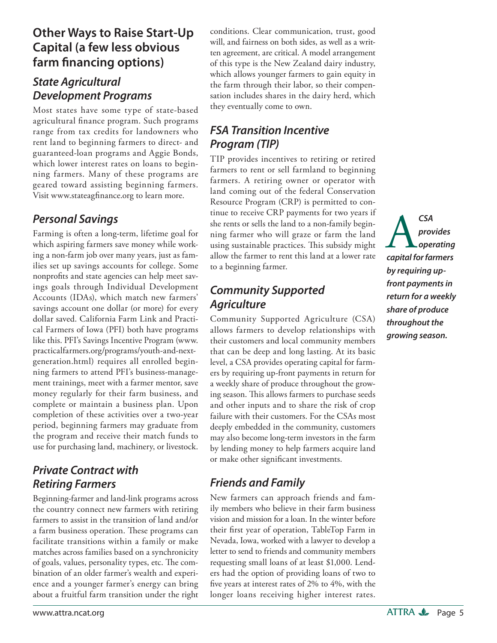### **Other Ways to Raise Start-Up Capital (a few less obvious**  farm financing options)

### *State Agricultural Development Programs*

Most states have some type of state-based agricultural finance program. Such programs range from tax credits for landowners who rent land to beginning farmers to direct- and guaranteed-loan programs and Aggie Bonds, which lower interest rates on loans to beginning farmers. Many of these programs are geared toward assisting beginning farmers. Visit www.stateagfinance.org to learn more.

### *Personal Savings*

Farming is often a long-term, lifetime goal for which aspiring farmers save money while working a non-farm job over many years, just as families set up savings accounts for college. Some nonprofits and state agencies can help meet savings goals through Individual Development Accounts (IDAs), which match new farmers' savings account one dollar (or more) for every dollar saved. California Farm Link and Practical Farmers of Iowa (PFI) both have programs like this. PFI's Savings Incentive Program (www. practicalfarmers.org/programs/youth-and-nextgeneration.html) requires all enrolled beginning farmers to attend PFI's business-management trainings, meet with a farmer mentor, save money regularly for their farm business, and complete or maintain a business plan. Upon completion of these activities over a two-year period, beginning farmers may graduate from the program and receive their match funds to use for purchasing land, machinery, or livestock.

### *Private Contract with Retiring Farmers*

Beginning-farmer and land-link programs across the country connect new farmers with retiring farmers to assist in the transition of land and/or a farm business operation. These programs can facilitate transitions within a family or make matches across families based on a synchronicity of goals, values, personality types, etc. The combination of an older farmer's wealth and experience and a younger farmer's energy can bring about a fruitful farm transition under the right conditions. Clear communication, trust, good will, and fairness on both sides, as well as a written agreement, are critical. A model arrangement of this type is the New Zealand dairy industry, which allows younger farmers to gain equity in the farm through their labor, so their compensation includes shares in the dairy herd, which they eventually come to own.

### *FSA Transition Incentive Program (TIP)*

TIP provides incentives to retiring or retired farmers to rent or sell farmland to beginning farmers. A retiring owner or operator with land coming out of the federal Conservation Resource Program (CRP) is permitted to continue to receive CRP payments for two years if she rents or sells the land to a non-family beginning farmer who will graze or farm the land using sustainable practices. This subsidy might allow the farmer to rent this land at a lower rate to a beginning farmer.

### *Community Supported Agriculture*

Community Supported Agriculture (CSA) allows farmers to develop relationships with their customers and local community members that can be deep and long lasting. At its basic level, a CSA provides operating capital for farmers by requiring up-front payments in return for a weekly share of produce throughout the growing season. This allows farmers to purchase seeds and other inputs and to share the risk of crop failure with their customers. For the CSAs most deeply embedded in the community, customers may also become long-term investors in the farm by lending money to help farmers acquire land or make other significant investments.

### *Friends and Family*

New farmers can approach friends and family members who believe in their farm business vision and mission for a loan. In the winter before their first year of operation, TableTop Farm in Nevada, Iowa, worked with a lawyer to develop a letter to send to friends and community members requesting small loans of at least \$1,000. Lenders had the option of providing loans of two to five years at interest rates of 2% to 4%, with the longer loans receiving higher interest rates.

A*CSA capital for farmers provides operating by requiring upfront payments in return for a weekly share of produce throughout the growing season.*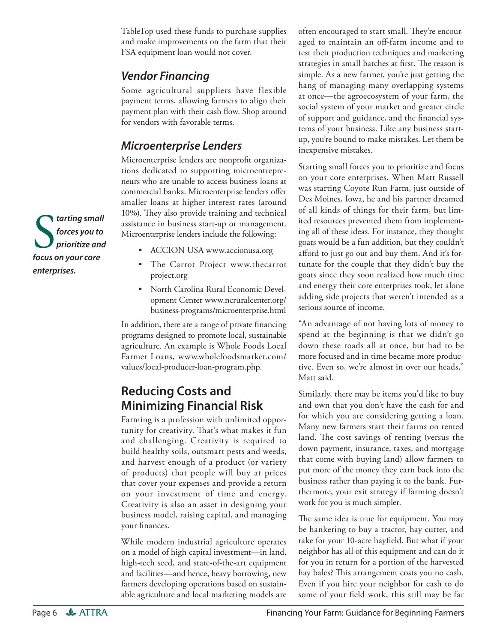TableTop used these funds to purchase supplies and make improvements on the farm that their FSA equipment loan would not cover.

### *Vendor Financing*

Some agricultural suppliers have flexible payment terms, allowing farmers to align their payment plan with their cash flow. Shop around for vendors with favorable terms.

### *Microenterprise Lenders*

Microenterprise lenders are nonprofit organizations dedicated to supporting microentrepreneurs who are unable to access business loans at commercial banks. Microenterprise lenders offer smaller loans at higher interest rates (around 10%). They also provide training and technical assistance in business start-up or management. Microenterprise lenders include the following:

- ACCION USA www.accionusa.org
- [The Carrot Project www.thecarrot](http://www.thecarrotproject.org) project.org
- North Carolina Rural Economic Devel[opment Center www.ncruralcenter.org/](http://www.ncruralcenter.org/business-programs/microenterprise.html) business-programs/microenterprise.html

In addition, there are a range of private financing programs designed to promote local, sustainable agriculture. An example is Whole Foods Local [Farmer Loans, www.wholefoodsmarket.com/](http://www.wholefoodsmarket.com/values/local-producer-loan-program.php) values/local-producer-loan-program.php.

### **Reducing Costs and Minimizing Financial Risk**

Farming is a profession with unlimited opportunity for creativity. That's what makes it fun and challenging. Creativity is required to build healthy soils, outsmart pests and weeds, and harvest enough of a product (or variety of products) that people will buy at prices that cover your expenses and provide a return on your investment of time and energy. Creativity is also an asset in designing your business model, raising capital, and managing your finances.

While modern industrial agriculture operates on a model of high capital investment—in land, high-tech seed, and state-of-the-art equipment and facilities—and hence, heavy borrowing, new farmers developing operations based on sustainable agriculture and local marketing models are

often encouraged to start small. They're encouraged to maintain an off-farm income and to test their production techniques and marketing strategies in small batches at first. The reason is simple. As a new farmer, you're just getting the hang of managing many overlapping systems at once—the agroecosystem of your farm, the social system of your market and greater circle of support and guidance, and the financial systems of your business. Like any business startup, you're bound to make mistakes. Let them be inexpensive mistakes.

Starting small forces you to prioritize and focus on your core enterprises. When Matt Russell was starting Coyote Run Farm, just outside of Des Moines, Iowa, he and his partner dreamed of all kinds of things for their farm, but limited resources prevented them from implementing all of these ideas. For instance, they thought goats would be a fun addition, but they couldn't afford to just go out and buy them. And it's fortunate for the couple that they didn't buy the goats since they soon realized how much time and energy their core enterprises took, let alone adding side projects that weren't intended as a serious source of income.

"An advantage of not having lots of money to spend at the beginning is that we didn't go down these roads all at once, but had to be more focused and in time became more productive. Even so, we're almost in over our heads," Matt said.

Similarly, there may be items you'd like to buy and own that you don't have the cash for and for which you are considering getting a loan. Many new farmers start their farms on rented land. The cost savings of renting (versus the down payment, insurance, taxes, and mortgage that come with buying land) allow farmers to put more of the money they earn back into the business rather than paying it to the bank. Furthermore, your exit strategy if farming doesn't work for you is much simpler.

The same idea is true for equipment. You may be hankering to buy a tractor, hay cutter, and rake for your 10-acre hayfield. But what if your neighbor has all of this equipment and can do it for you in return for a portion of the harvested hay bales? This arrangement costs you no cash. Even if you hire your neighbor for cash to do some of your field work, this still may be far

**S**<br>*forces you to***<br>***prioritize an*<br>*focus on your core tarting small forces you to prioritize and enterprises.*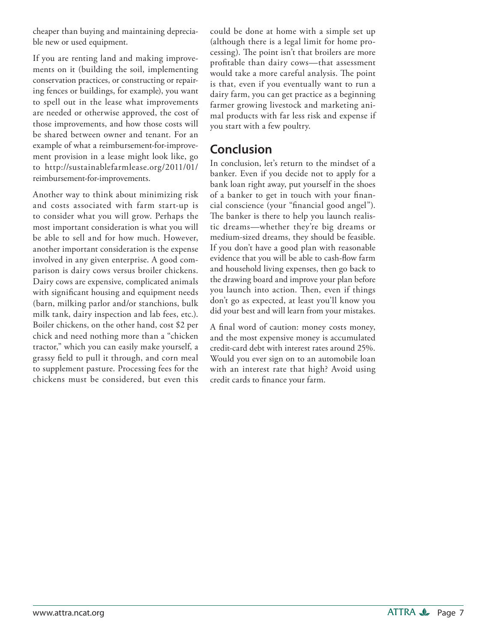cheaper than buying and maintaining depreciable new or used equipment.

If you are renting land and making improvements on it (building the soil, implementing conservation practices, or constructing or repairing fences or buildings, for example), you want to spell out in the lease what improvements are needed or otherwise approved, the cost of those improvements, and how those costs will be shared between owner and tenant. For an example of what a reimbursement-for-improvement provision in a lease might look like, go [to http://sustainablefarmlease.org/2011/01/](http://sustainablefarmlease.org/2011/01/reimbursement-for-improvements) reimbursement-for-improvements.

Another way to think about minimizing risk and costs associated with farm start-up is to consider what you will grow. Perhaps the most important consideration is what you will be able to sell and for how much. However, another important consideration is the expense involved in any given enterprise. A good comparison is dairy cows versus broiler chickens. Dairy cows are expensive, complicated animals with significant housing and equipment needs (barn, milking parlor and/or stanchions, bulk milk tank, dairy inspection and lab fees, etc.). Boiler chickens, on the other hand, cost \$2 per chick and need nothing more than a "chicken tractor," which you can easily make yourself, a grassy field to pull it through, and corn meal to supplement pasture. Processing fees for the chickens must be considered, but even this could be done at home with a simple set up (although there is a legal limit for home processing). The point isn't that broilers are more profitable than dairy cows-that assessment would take a more careful analysis. The point is that, even if you eventually want to run a dairy farm, you can get practice as a beginning farmer growing livestock and marketing animal products with far less risk and expense if you start with a few poultry.

### **Conclusion**

In conclusion, let's return to the mindset of a banker. Even if you decide not to apply for a bank loan right away, put yourself in the shoes of a banker to get in touch with your financial conscience (your "financial good angel"). The banker is there to help you launch realistic dreams—whether they're big dreams or medium-sized dreams, they should be feasible. If you don't have a good plan with reasonable evidence that you will be able to cash-flow farm and household living expenses, then go back to the drawing board and improve your plan before you launch into action. Then, even if things don't go as expected, at least you'll know you did your best and will learn from your mistakes.

A final word of caution: money costs money, and the most expensive money is accumulated credit-card debt with interest rates around 25%. Would you ever sign on to an automobile loan with an interest rate that high? Avoid using credit cards to finance your farm.